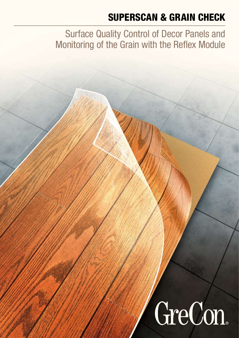## SUPERSCAN & GRAIN CHECK

Surface Quality Control of Decor Panels and Monitoring of the Grain with the Reflex Module

# GreCon.